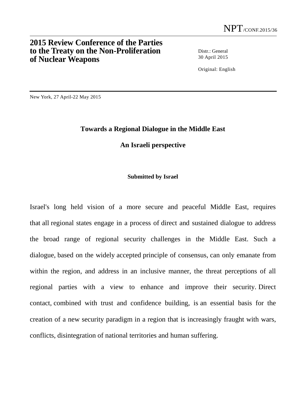## **2015 Review Conference of the Parties to the Treaty on the Non-Proliferation of Nuclear Weapons**

Distr.: General 30 April 2015

Original: English

New York, 27 April-22 May 2015

## **Towards a Regional Dialogue in the Middle East**

## **An Israeli perspective**

## **Submitted by Israel**

Israel's long held vision of a more secure and peaceful Middle East, requires that all regional states engage in a process of direct and sustained dialogue to address the broad range of regional security challenges in the Middle East. Such a dialogue, based on the widely accepted principle of consensus, can only emanate from within the region, and address in an inclusive manner, the threat perceptions of all regional parties with a view to enhance and improve their security. Direct contact, combined with trust and confidence building, is an essential basis for the creation of a new security paradigm in a region that is increasingly fraught with wars, conflicts, disintegration of national territories and human suffering.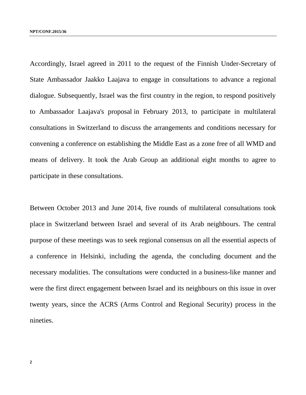Accordingly, Israel agreed in 2011 to the request of the Finnish Under-Secretary of State Ambassador Jaakko Laajava to engage in consultations to advance a regional dialogue. Subsequently, Israel was the first country in the region, to respond positively to Ambassador Laajava's proposal in February 2013, to participate in multilateral consultations in Switzerland to discuss the arrangements and conditions necessary for convening a conference on establishing the Middle East as a zone free of all WMD and means of delivery. It took the Arab Group an additional eight months to agree to participate in these consultations.

Between October 2013 and June 2014, five rounds of multilateral consultations took place in Switzerland between Israel and several of its Arab neighbours. The central purpose of these meetings was to seek regional consensus on all the essential aspects of a conference in Helsinki, including the agenda, the concluding document and the necessary modalities. The consultations were conducted in a business-like manner and were the first direct engagement between Israel and its neighbours on this issue in over twenty years, since the ACRS (Arms Control and Regional Security) process in the nineties.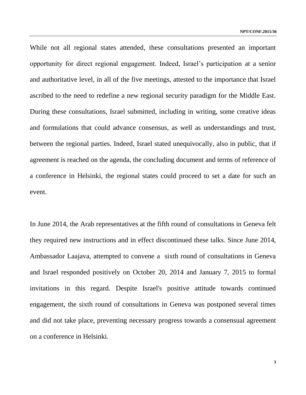While not all regional states attended, these consultations presented an important opportunity for direct regional engagement. Indeed, Israel's participation at a senior and authoritative level, in all of the five meetings, attested to the importance that Israel ascribed to the need to redefine a new regional security paradigm for the Middle East. During these consultations, Israel submitted, including in writing, some creative ideas and formulations that could advance consensus, as well as understandings and trust, between the regional parties. Indeed, Israel stated unequivocally, also in public, that if agreement is reached on the agenda, the concluding document and terms of reference of a conference in Helsinki, the regional states could proceed to set a date for such an event.

In June 2014, the Arab representatives at the fifth round of consultations in Geneva felt they required new instructions and in effect discontinued these talks. Since June 2014, Ambassador Laajava, attempted to convene a sixth round of consultations in Geneva and Israel responded positively on October 20, 2014 and January 7, 2015 to formal invitations in this regard. Despite Israel's positive attitude towards continued engagement, the sixth round of consultations in Geneva was postponed several times and did not take place, preventing necessary progress towards a consensual agreement on a conference in Helsinki.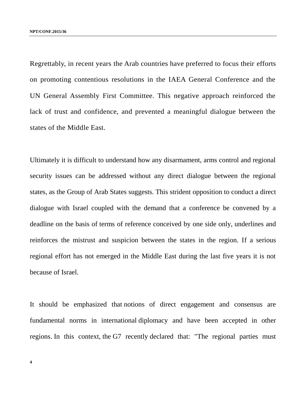Regrettably, in recent years the Arab countries have preferred to focus their efforts on promoting contentious resolutions in the IAEA General Conference and the UN General Assembly First Committee. This negative approach reinforced the lack of trust and confidence, and prevented a meaningful dialogue between the states of the Middle East.

Ultimately it is difficult to understand how any disarmament, arms control and regional security issues can be addressed without any direct dialogue between the regional states, as the Group of Arab States suggests. This strident opposition to conduct a direct dialogue with Israel coupled with the demand that a conference be convened by a deadline on the basis of terms of reference conceived by one side only, underlines and reinforces the mistrust and suspicion between the states in the region. If a serious regional effort has not emerged in the Middle East during the last five years it is not because of Israel.

It should be emphasized that notions of direct engagement and consensus are fundamental norms in international diplomacy and have been accepted in other regions. In this context, the G7 recently declared that: "The regional parties must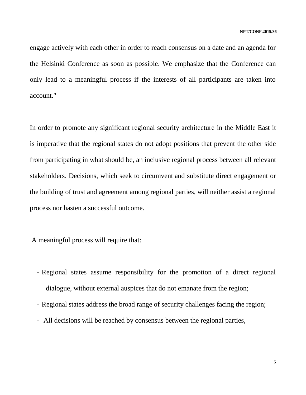engage actively with each other in order to reach consensus on a date and an agenda for the Helsinki Conference as soon as possible. We emphasize that the Conference can only lead to a meaningful process if the interests of all participants are taken into account."

In order to promote any significant regional security architecture in the Middle East it is imperative that the regional states do not adopt positions that prevent the other side from participating in what should be, an inclusive regional process between all relevant stakeholders. Decisions, which seek to circumvent and substitute direct engagement or the building of trust and agreement among regional parties, will neither assist a regional process nor hasten a successful outcome.

A meaningful process will require that:

- Regional states assume responsibility for the promotion of a direct regional dialogue, without external auspices that do not emanate from the region;
- Regional states address the broad range of security challenges facing the region;
- All decisions will be reached by consensus between the regional parties,